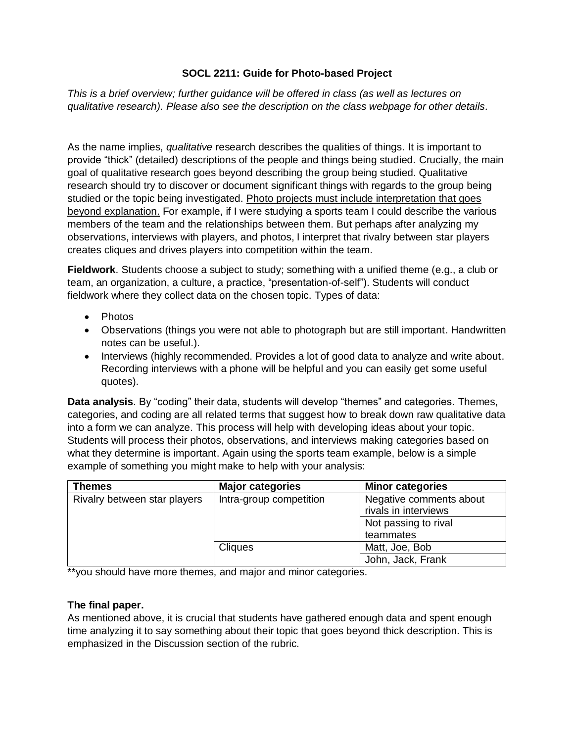## **SOCL 2211: Guide for Photo-based Project**

*This is a brief overview; further guidance will be offered in class (as well as lectures on qualitative research). Please also see the description on the class webpage for other details.*

As the name implies, *qualitative* research describes the qualities of things. It is important to provide "thick" (detailed) descriptions of the people and things being studied. Crucially, the main goal of qualitative research goes beyond describing the group being studied. Qualitative research should try to discover or document significant things with regards to the group being studied or the topic being investigated. Photo projects must include interpretation that goes beyond explanation. For example, if I were studying a sports team I could describe the various members of the team and the relationships between them. But perhaps after analyzing my observations, interviews with players, and photos, I interpret that rivalry between star players creates cliques and drives players into competition within the team.

**Fieldwork**. Students choose a subject to study; something with a unified theme (e.g., a club or team, an organization, a culture, a practice, "presentation-of-self"). Students will conduct fieldwork where they collect data on the chosen topic. Types of data:

- Photos
- Observations (things you were not able to photograph but are still important. Handwritten notes can be useful.).
- Interviews (highly recommended. Provides a lot of good data to analyze and write about. Recording interviews with a phone will be helpful and you can easily get some useful quotes).

**Data analysis**. By "coding" their data, students will develop "themes" and categories. Themes, categories, and coding are all related terms that suggest how to break down raw qualitative data into a form we can analyze. This process will help with developing ideas about your topic. Students will process their photos, observations, and interviews making categories based on what they determine is important. Again using the sports team example, below is a simple example of something you might make to help with your analysis:

| <b>Themes</b>                | <b>Major categories</b> | <b>Minor categories</b>                         |
|------------------------------|-------------------------|-------------------------------------------------|
| Rivalry between star players | Intra-group competition | Negative comments about<br>rivals in interviews |
|                              |                         | Not passing to rival                            |
|                              |                         | teammates                                       |
|                              | <b>Cliques</b>          | Matt, Joe, Bob                                  |
|                              |                         | John, Jack, Frank                               |

\*\*you should have more themes, and major and minor categories.

## **The final paper.**

As mentioned above, it is crucial that students have gathered enough data and spent enough time analyzing it to say something about their topic that goes beyond thick description. This is emphasized in the Discussion section of the rubric.